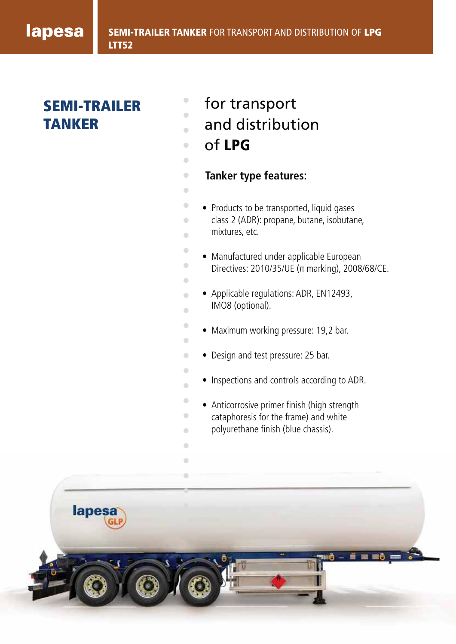# lapesa

# **SEMI-TRAILER TANKER**

- $\bigcirc$ for transport ò
- and distribution  $\overline{\phantom{a}}$
- of **LPG**  $\bullet$

 $\blacksquare$ 

 $\bigcirc$  $\bullet$  $\bullet$  $\begin{array}{c} \bullet \\ \bullet \end{array}$  $\sqrt{2}$ 

 $\begin{array}{c} \bullet \\ \bullet \end{array}$ 

 $\bullet$  $\overline{a}$  $\overline{a}$  $\begin{array}{c} \bullet \\ \bullet \end{array}$ 

 $\bullet$  $\bullet$  $\mathbf{C}$  $\overline{a}$ 

 $\begin{array}{ccc} \bullet & \bullet & \bullet \\ \bullet & \bullet & \bullet \end{array}$  $\begin{array}{ccc} \bullet & \bullet & \bullet \\ \bullet & \bullet & \bullet \end{array}$  $\begin{array}{ccc} \bullet & \bullet & \bullet \\ \bullet & \bullet & \bullet \end{array}$  $\begin{array}{c} \bullet \\ \bullet \end{array}$  $\mathbf{C}$ 

 $\begin{array}{c} \bullet \\ \bullet \end{array}$ 

- **Tanker type features:**
- Products to be transported, liquid gases
- class 2 (ADR): propane, butane, isobutane, mixtures, etc.
- 
- Manufactured under applicable European Directives: 2010/35/UE (π marking), 2008/68/CE.
- Applicable regulations: ADR, EN12493, IMO8 (optional).
- Maximum working pressure: 19,2 bar.
- Design and test pressure: 25 bar.
- Inspections and controls according to ADR.
- Anticorrosive primer finish (high strength cataphoresis for the frame) and white polyurethane finish (blue chassis).

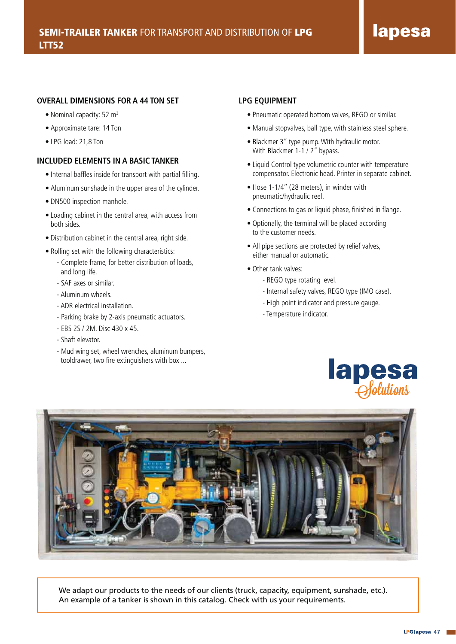#### **OVERALL DIMENSIONS FOR A 44 TON SET**

- Nominal capacity: 52  $m<sup>3</sup>$
- Approximate tare: 14 Ton
- LPG load: 21,8 Ton

#### **INCLUDED ELEMENTS IN A BASIC TANKER**

- Internal baffles inside for transport with partial filling.
- Aluminum sunshade in the upper area of the cylinder.
- DN500 inspection manhole.
- Loading cabinet in the central area, with access from both sides.
- Distribution cabinet in the central area, right side.
- Rolling set with the following characteristics:
	- Complete frame, for better distribution of loads, and long life.
	- SAF axes or similar.
	- Aluminum wheels.
	- ADR electrical installation.
	- Parking brake by 2-axis pneumatic actuators.
	- EBS 2S / 2M. Disc 430 x 45.
	- Shaft elevator.
	- Mud wing set, wheel wrenches, aluminum bumpers, tooldrawer, two fire extinguishers with box ...

#### **LPG EQUIPMENT**

- Pneumatic operated bottom valves, REGO or similar.
- Manual stopvalves, ball type, with stainless steel sphere.
- Blackmer 3" type pump. With hydraulic motor. With Blackmer 1-1 / 2" bypass.
- Liquid Control type volumetric counter with temperature compensator. Electronic head. Printer in separate cabinet.
- Hose 1-1/4'' (28 meters), in winder with pneumatic/hydraulic reel.
- Connections to gas or liquid phase, finished in flange.
- Optionally, the terminal will be placed according to the customer needs.
- All pipe sections are protected by relief valves, either manual or automatic.
- Other tank valves:
	- REGO type rotating level.
	- Internal safety valves, REGO type (IMO case).
	- High point indicator and pressure gauge.
	- Temperature indicator.





We adapt our products to the needs of our clients (truck, capacity, equipment, sunshade, etc.). An example of a tanker is shown in this catalog. Check with us your requirements.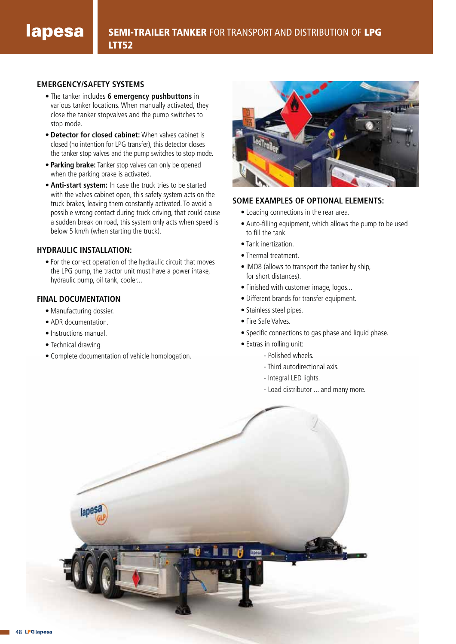### **EMERGENCY/SAFETY SYSTEMS**

- The tanker includes **6 emergency pushbuttons** in various tanker locations. When manually activated, they close the tanker stopvalves and the pump switches to stop mode.
- **Detector for closed cabinet:** When valves cabinet is closed (no intention for LPG transfer), this detector closes the tanker stop valves and the pump switches to stop mode.
- **Parking brake:** Tanker stop valves can only be opened when the parking brake is activated.
- **Anti-start system:** In case the truck tries to be started with the valves cabinet open, this safety system acts on the truck brakes, leaving them constantly activated. To avoid a possible wrong contact during truck driving, that could cause a sudden break on road, this system only acts when speed is below 5 km/h (when starting the truck).

### **HYDRAULIC INSTALLATION:**

• For the correct operation of the hydraulic circuit that moves the LPG pump, the tractor unit must have a power intake, hydraulic pump, oil tank, cooler...

## **FINAL DOCUMENTATION**

- Manufacturing dossier.
- ADR documentation.
- Instructions manual.
- Technical drawing
- Complete documentation of vehicle homologation.



### **SOME EXAMPLES OF OPTIONAL ELEMENTS:**

- Loading connections in the rear area.
- Auto-filling equipment, which allows the pump to be used to fill the tank
- Tank inertization.
- Thermal treatment.
- IMO8 (allows to transport the tanker by ship, for short distances).
- Finished with customer image, logos...
- Different brands for transfer equipment.
- Stainless steel pipes.
- Fire Safe Valves.
- Specific connections to gas phase and liquid phase.
- Extras in rolling unit:
	- Polished wheels.
	- Third autodirectional axis.
	- Integral LED lights.
	- Load distributor ... and many more.